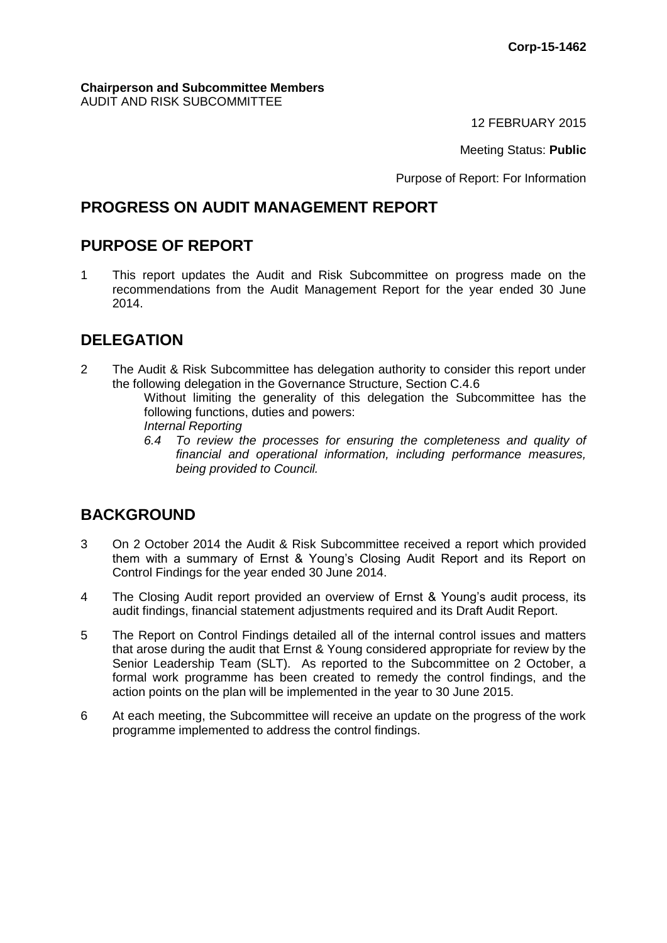#### **Chairperson and Subcommittee Members** AUDIT AND RISK SUBCOMMITTEE

12 FEBRUARY 2015

Meeting Status: **Public**

Purpose of Report: For Information

## **PROGRESS ON AUDIT MANAGEMENT REPORT**

## **PURPOSE OF REPORT**

1 This report updates the Audit and Risk Subcommittee on progress made on the recommendations from the Audit Management Report for the year ended 30 June 2014.

## **DELEGATION**

- 2 The Audit & Risk Subcommittee has delegation authority to consider this report under the following delegation in the Governance Structure, Section C.4.6 Without limiting the generality of this delegation the Subcommittee has the following functions, duties and powers: *Internal Reporting* 
	- *6.4 To review the processes for ensuring the completeness and quality of financial and operational information, including performance measures, being provided to Council.*

# **BACKGROUND**

- 3 On 2 October 2014 the Audit & Risk Subcommittee received a report which provided them with a summary of Ernst & Young's Closing Audit Report and its Report on Control Findings for the year ended 30 June 2014.
- 4 The Closing Audit report provided an overview of Ernst & Young's audit process, its audit findings, financial statement adjustments required and its Draft Audit Report.
- 5 The Report on Control Findings detailed all of the internal control issues and matters that arose during the audit that Ernst & Young considered appropriate for review by the Senior Leadership Team (SLT). As reported to the Subcommittee on 2 October, a formal work programme has been created to remedy the control findings, and the action points on the plan will be implemented in the year to 30 June 2015.
- 6 At each meeting, the Subcommittee will receive an update on the progress of the work programme implemented to address the control findings.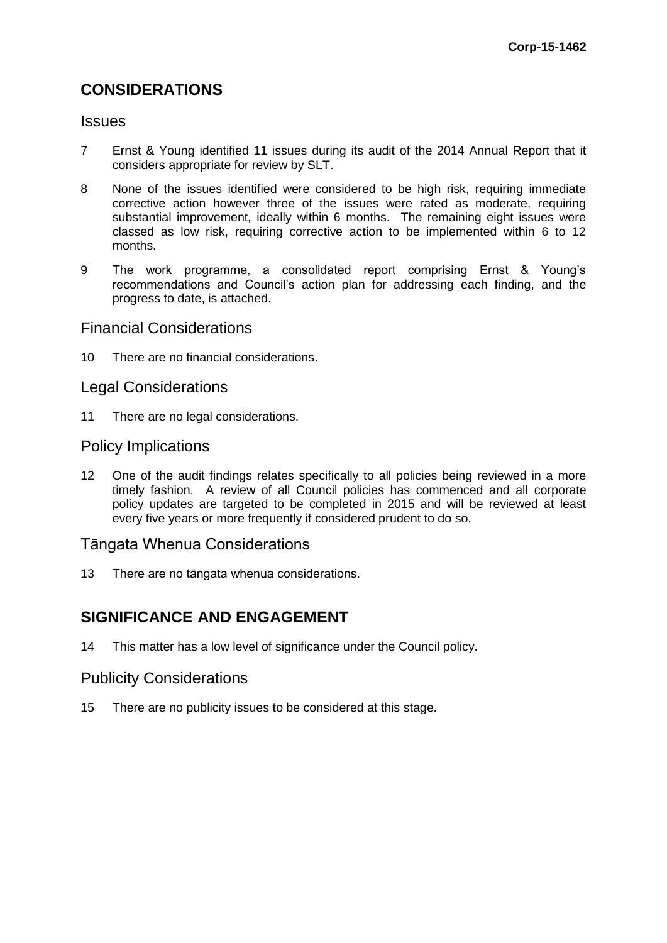## **CONSIDERATIONS**

#### **Issues**

- 7 Ernst & Young identified 11 issues during its audit of the 2014 Annual Report that it considers appropriate for review by SLT.
- 8 None of the issues identified were considered to be high risk, requiring immediate corrective action however three of the issues were rated as moderate, requiring substantial improvement, ideally within 6 months. The remaining eight issues were classed as low risk, requiring corrective action to be implemented within 6 to 12 months.
- 9 The work programme, a consolidated report comprising Ernst & Young's recommendations and Council's action plan for addressing each finding, and the progress to date, is attached.

#### Financial Considerations

10 There are no financial considerations.

#### Legal Considerations

11 There are no legal considerations.

#### Policy Implications

12 One of the audit findings relates specifically to all policies being reviewed in a more timely fashion. A review of all Council policies has commenced and all corporate policy updates are targeted to be completed in 2015 and will be reviewed at least every five years or more frequently if considered prudent to do so.

### Tāngata Whenua Considerations

13 There are no tāngata whenua considerations.

## **SIGNIFICANCE AND ENGAGEMENT**

14 This matter has a low level of significance under the Council policy.

#### Publicity Considerations

15 There are no publicity issues to be considered at this stage.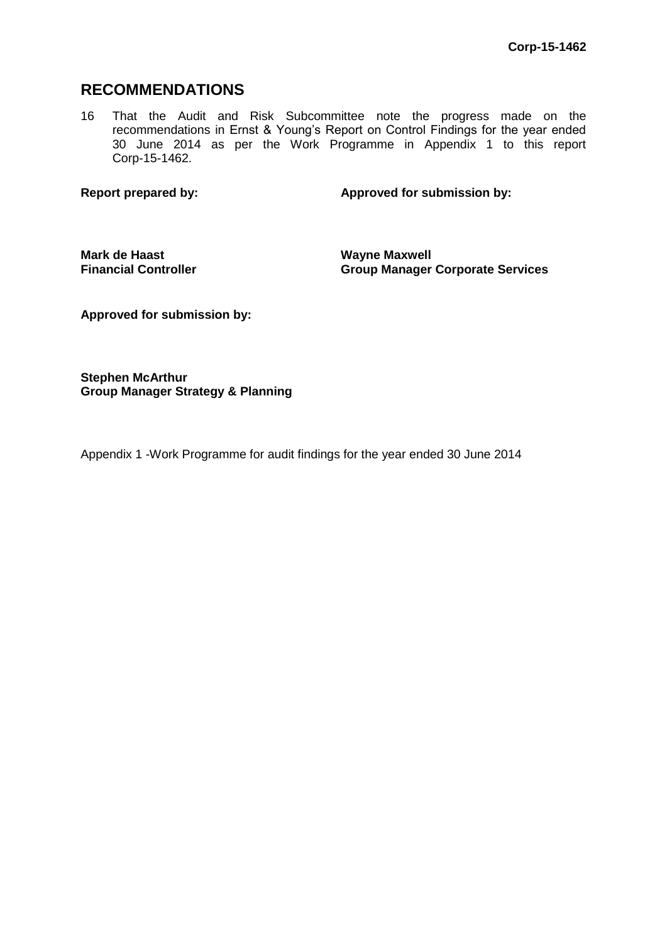## **RECOMMENDATIONS**

16 That the Audit and Risk Subcommittee note the progress made on the recommendations in Ernst & Young's Report on Control Findings for the year ended 30 June 2014 as per the Work Programme in Appendix 1 to this report Corp-15-1462.

**Report prepared by: Approved for submission by:**

**Mark de Haast Financial Controller** **Wayne Maxwell Group Manager Corporate Services**

**Approved for submission by:**

**Stephen McArthur Group Manager Strategy & Planning**

Appendix 1 -Work Programme for audit findings for the year ended 30 June 2014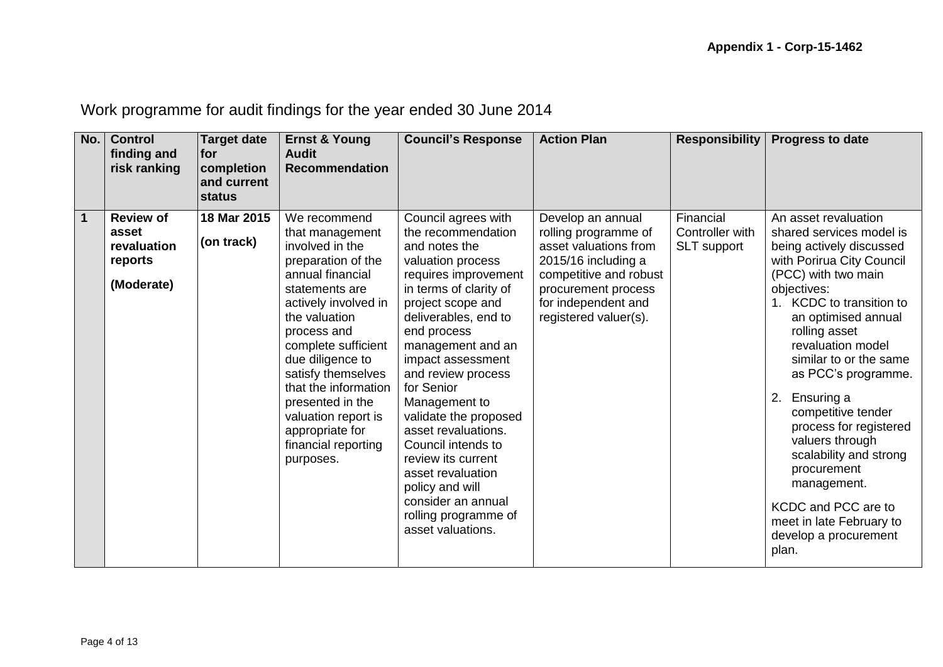Work programme for audit findings for the year ended 30 June 2014

| No.         | <b>Control</b><br>finding and<br>risk ranking                     | <b>Target date</b><br><b>for</b><br>completion<br>and current<br>status | <b>Ernst &amp; Young</b><br><b>Audit</b><br><b>Recommendation</b>                                                                                                                                                                                                                                                                                                 | <b>Council's Response</b>                                                                                                                                                                                                                                                                                                                                                                                                                                                                           | <b>Action Plan</b>                                                                                                                                                                         | <b>Responsibility</b>                              | <b>Progress to date</b>                                                                                                                                                                                                                                                                                                                                                                                                                                                                                                       |
|-------------|-------------------------------------------------------------------|-------------------------------------------------------------------------|-------------------------------------------------------------------------------------------------------------------------------------------------------------------------------------------------------------------------------------------------------------------------------------------------------------------------------------------------------------------|-----------------------------------------------------------------------------------------------------------------------------------------------------------------------------------------------------------------------------------------------------------------------------------------------------------------------------------------------------------------------------------------------------------------------------------------------------------------------------------------------------|--------------------------------------------------------------------------------------------------------------------------------------------------------------------------------------------|----------------------------------------------------|-------------------------------------------------------------------------------------------------------------------------------------------------------------------------------------------------------------------------------------------------------------------------------------------------------------------------------------------------------------------------------------------------------------------------------------------------------------------------------------------------------------------------------|
| $\mathbf 1$ | <b>Review of</b><br>asset<br>revaluation<br>reports<br>(Moderate) | 18 Mar 2015<br>(on track)                                               | We recommend<br>that management<br>involved in the<br>preparation of the<br>annual financial<br>statements are<br>actively involved in<br>the valuation<br>process and<br>complete sufficient<br>due diligence to<br>satisfy themselves<br>that the information<br>presented in the<br>valuation report is<br>appropriate for<br>financial reporting<br>purposes. | Council agrees with<br>the recommendation<br>and notes the<br>valuation process<br>requires improvement<br>in terms of clarity of<br>project scope and<br>deliverables, end to<br>end process<br>management and an<br>impact assessment<br>and review process<br>for Senior<br>Management to<br>validate the proposed<br>asset revaluations.<br>Council intends to<br>review its current<br>asset revaluation<br>policy and will<br>consider an annual<br>rolling programme of<br>asset valuations. | Develop an annual<br>rolling programme of<br>asset valuations from<br>2015/16 including a<br>competitive and robust<br>procurement process<br>for independent and<br>registered valuer(s). | Financial<br>Controller with<br><b>SLT</b> support | An asset revaluation<br>shared services model is<br>being actively discussed<br>with Porirua City Council<br>(PCC) with two main<br>objectives:<br>1. KCDC to transition to<br>an optimised annual<br>rolling asset<br>revaluation model<br>similar to or the same<br>as PCC's programme.<br>2.<br>Ensuring a<br>competitive tender<br>process for registered<br>valuers through<br>scalability and strong<br>procurement<br>management.<br>KCDC and PCC are to<br>meet in late February to<br>develop a procurement<br>plan. |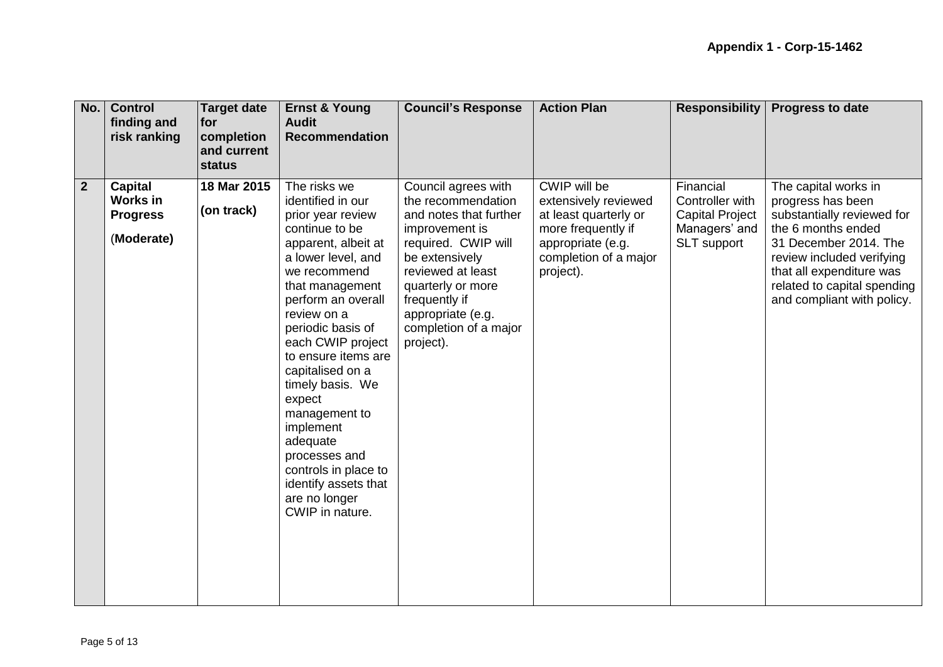| No.            | <b>Control</b><br>finding and<br>risk ranking                      | <b>Target date</b><br>for<br>completion<br>and current<br>status | <b>Ernst &amp; Young</b><br><b>Audit</b><br><b>Recommendation</b>                                                                                                                                                                                                                                                                                                                                                                                               | <b>Council's Response</b>                                                                                                                                                                                                                            | <b>Action Plan</b>                                                                                                                             | <b>Responsibility</b>                                                                  | <b>Progress to date</b>                                                                                                                                                                                                                      |
|----------------|--------------------------------------------------------------------|------------------------------------------------------------------|-----------------------------------------------------------------------------------------------------------------------------------------------------------------------------------------------------------------------------------------------------------------------------------------------------------------------------------------------------------------------------------------------------------------------------------------------------------------|------------------------------------------------------------------------------------------------------------------------------------------------------------------------------------------------------------------------------------------------------|------------------------------------------------------------------------------------------------------------------------------------------------|----------------------------------------------------------------------------------------|----------------------------------------------------------------------------------------------------------------------------------------------------------------------------------------------------------------------------------------------|
| $\overline{2}$ | <b>Capital</b><br><b>Works in</b><br><b>Progress</b><br>(Moderate) | 18 Mar 2015<br>(on track)                                        | The risks we<br>identified in our<br>prior year review<br>continue to be<br>apparent, albeit at<br>a lower level, and<br>we recommend<br>that management<br>perform an overall<br>review on a<br>periodic basis of<br>each CWIP project<br>to ensure items are<br>capitalised on a<br>timely basis. We<br>expect<br>management to<br>implement<br>adequate<br>processes and<br>controls in place to<br>identify assets that<br>are no longer<br>CWIP in nature. | Council agrees with<br>the recommendation<br>and notes that further<br>improvement is<br>required. CWIP will<br>be extensively<br>reviewed at least<br>quarterly or more<br>frequently if<br>appropriate (e.g.<br>completion of a major<br>project). | CWIP will be<br>extensively reviewed<br>at least quarterly or<br>more frequently if<br>appropriate (e.g.<br>completion of a major<br>project). | Financial<br>Controller with<br><b>Capital Project</b><br>Managers' and<br>SLT support | The capital works in<br>progress has been<br>substantially reviewed for<br>the 6 months ended<br>31 December 2014. The<br>review included verifying<br>that all expenditure was<br>related to capital spending<br>and compliant with policy. |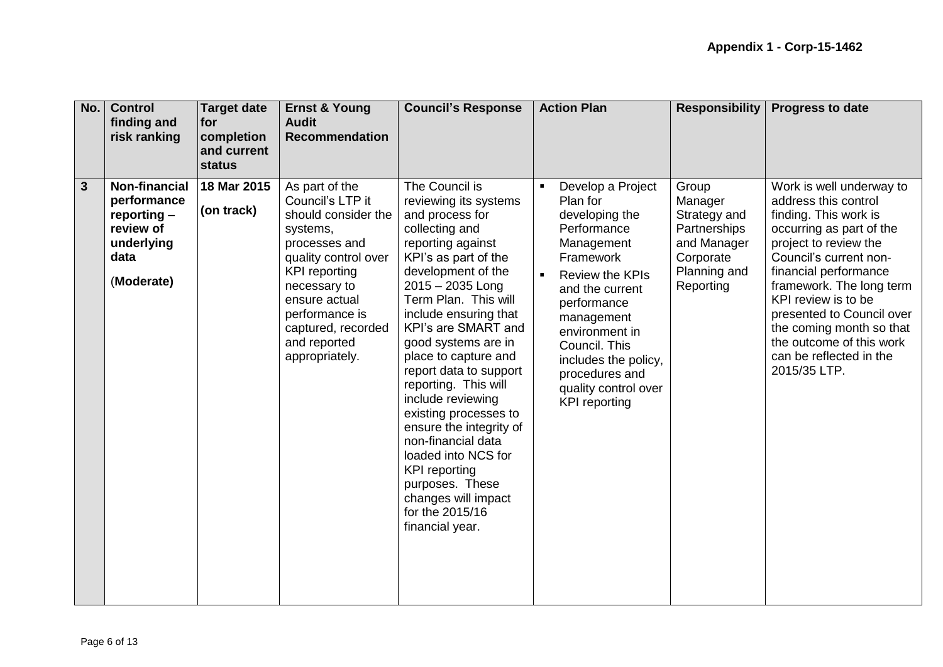| No.          | <b>Control</b><br>finding and<br>risk ranking                                                         | <b>Target date</b><br>for<br>completion<br>and current<br>status | <b>Ernst &amp; Young</b><br><b>Audit</b><br><b>Recommendation</b>                                                                                                                                                                                 | <b>Council's Response</b>                                                                                                                                                                                                                                                                                                                                                                                                                                                                                                                                                  | <b>Action Plan</b>                                                                                                                                                                                                                                                                               | <b>Responsibility</b>                                                                                     | <b>Progress to date</b>                                                                                                                                                                                                                                                                                                                                              |
|--------------|-------------------------------------------------------------------------------------------------------|------------------------------------------------------------------|---------------------------------------------------------------------------------------------------------------------------------------------------------------------------------------------------------------------------------------------------|----------------------------------------------------------------------------------------------------------------------------------------------------------------------------------------------------------------------------------------------------------------------------------------------------------------------------------------------------------------------------------------------------------------------------------------------------------------------------------------------------------------------------------------------------------------------------|--------------------------------------------------------------------------------------------------------------------------------------------------------------------------------------------------------------------------------------------------------------------------------------------------|-----------------------------------------------------------------------------------------------------------|----------------------------------------------------------------------------------------------------------------------------------------------------------------------------------------------------------------------------------------------------------------------------------------------------------------------------------------------------------------------|
| $\mathbf{3}$ | <b>Non-financial</b><br>performance<br>$reporting -$<br>review of<br>underlying<br>data<br>(Moderate) | 18 Mar 2015<br>(on track)                                        | As part of the<br>Council's LTP it<br>should consider the<br>systems,<br>processes and<br>quality control over<br><b>KPI</b> reporting<br>necessary to<br>ensure actual<br>performance is<br>captured, recorded<br>and reported<br>appropriately. | The Council is<br>reviewing its systems<br>and process for<br>collecting and<br>reporting against<br>KPI's as part of the<br>development of the<br>2015 - 2035 Long<br>Term Plan. This will<br>include ensuring that<br>KPI's are SMART and<br>good systems are in<br>place to capture and<br>report data to support<br>reporting. This will<br>include reviewing<br>existing processes to<br>ensure the integrity of<br>non-financial data<br>loaded into NCS for<br><b>KPI</b> reporting<br>purposes. These<br>changes will impact<br>for the 2015/16<br>financial year. | Develop a Project<br>Plan for<br>developing the<br>Performance<br>Management<br>Framework<br><b>Review the KPIs</b><br>and the current<br>performance<br>management<br>environment in<br>Council. This<br>includes the policy,<br>procedures and<br>quality control over<br><b>KPI</b> reporting | Group<br>Manager<br>Strategy and<br>Partnerships<br>and Manager<br>Corporate<br>Planning and<br>Reporting | Work is well underway to<br>address this control<br>finding. This work is<br>occurring as part of the<br>project to review the<br>Council's current non-<br>financial performance<br>framework. The long term<br>KPI review is to be<br>presented to Council over<br>the coming month so that<br>the outcome of this work<br>can be reflected in the<br>2015/35 LTP. |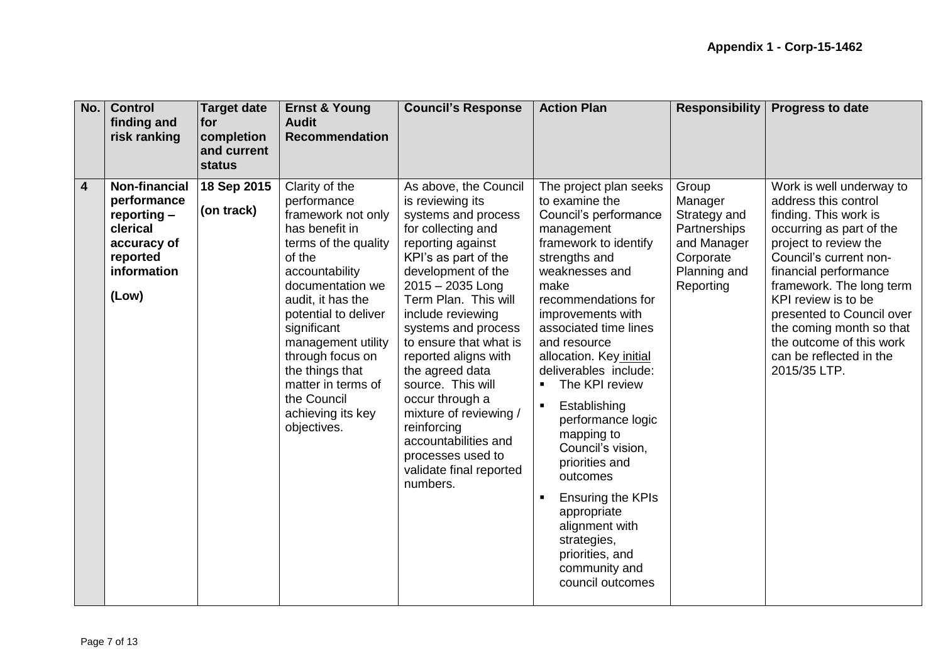| No.            | <b>Control</b><br>finding and<br>risk ranking                                                              | <b>Target date</b><br>for<br>completion<br>and current<br>status | <b>Ernst &amp; Young</b><br><b>Audit</b><br><b>Recommendation</b>                                                                                                                                                                                                                                                                               | <b>Council's Response</b>                                                                                                                                                                                                                                                                                                                                                                                                                                                                   | <b>Action Plan</b>                                                                                                                                                                                                                                                                                                                                                                                                                                                                                                                                                                           | <b>Responsibility</b>                                                                                     | <b>Progress to date</b>                                                                                                                                                                                                                                                                                                                                              |
|----------------|------------------------------------------------------------------------------------------------------------|------------------------------------------------------------------|-------------------------------------------------------------------------------------------------------------------------------------------------------------------------------------------------------------------------------------------------------------------------------------------------------------------------------------------------|---------------------------------------------------------------------------------------------------------------------------------------------------------------------------------------------------------------------------------------------------------------------------------------------------------------------------------------------------------------------------------------------------------------------------------------------------------------------------------------------|----------------------------------------------------------------------------------------------------------------------------------------------------------------------------------------------------------------------------------------------------------------------------------------------------------------------------------------------------------------------------------------------------------------------------------------------------------------------------------------------------------------------------------------------------------------------------------------------|-----------------------------------------------------------------------------------------------------------|----------------------------------------------------------------------------------------------------------------------------------------------------------------------------------------------------------------------------------------------------------------------------------------------------------------------------------------------------------------------|
| $\overline{4}$ | Non-financial<br>performance<br>reporting -<br>clerical<br>accuracy of<br>reported<br>information<br>(Low) | 18 Sep 2015<br>(on track)                                        | Clarity of the<br>performance<br>framework not only<br>has benefit in<br>terms of the quality<br>of the<br>accountability<br>documentation we<br>audit, it has the<br>potential to deliver<br>significant<br>management utility<br>through focus on<br>the things that<br>matter in terms of<br>the Council<br>achieving its key<br>objectives. | As above, the Council<br>is reviewing its<br>systems and process<br>for collecting and<br>reporting against<br>KPI's as part of the<br>development of the<br>2015 - 2035 Long<br>Term Plan. This will<br>include reviewing<br>systems and process<br>to ensure that what is<br>reported aligns with<br>the agreed data<br>source. This will<br>occur through a<br>mixture of reviewing /<br>reinforcing<br>accountabilities and<br>processes used to<br>validate final reported<br>numbers. | The project plan seeks<br>to examine the<br>Council's performance<br>management<br>framework to identify<br>strengths and<br>weaknesses and<br>make<br>recommendations for<br>improvements with<br>associated time lines<br>and resource<br>allocation. Key initial<br>deliverables include:<br>The KPI review<br>Establishing<br>$\blacksquare$<br>performance logic<br>mapping to<br>Council's vision.<br>priorities and<br>outcomes<br><b>Ensuring the KPIs</b><br>$\blacksquare$<br>appropriate<br>alignment with<br>strategies,<br>priorities, and<br>community and<br>council outcomes | Group<br>Manager<br>Strategy and<br>Partnerships<br>and Manager<br>Corporate<br>Planning and<br>Reporting | Work is well underway to<br>address this control<br>finding. This work is<br>occurring as part of the<br>project to review the<br>Council's current non-<br>financial performance<br>framework. The long term<br>KPI review is to be<br>presented to Council over<br>the coming month so that<br>the outcome of this work<br>can be reflected in the<br>2015/35 LTP. |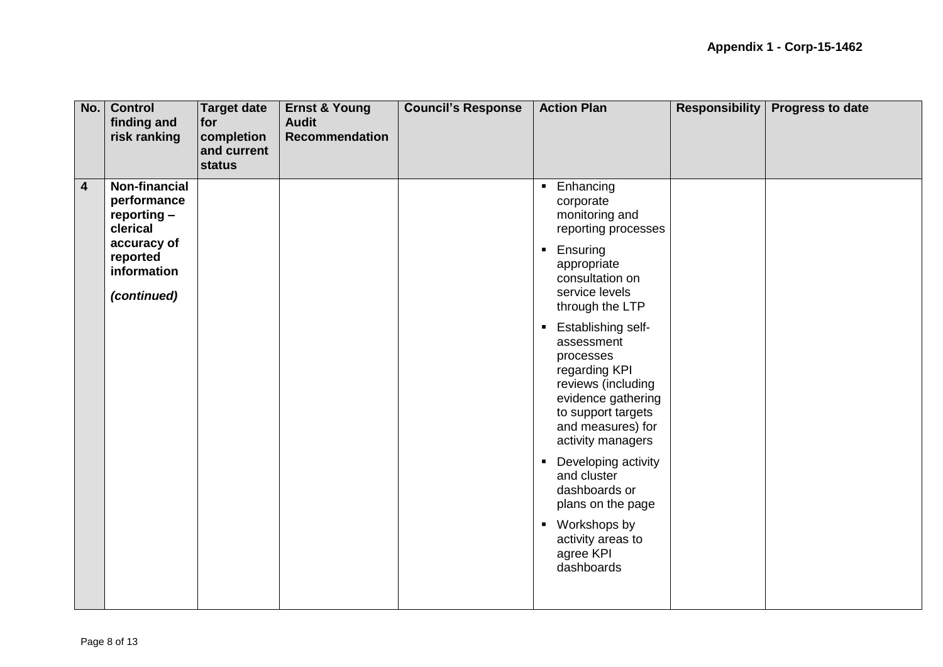| No.                     | <b>Control</b><br>finding and<br>risk ranking                  | <b>Target date</b><br>for<br>completion<br>and current<br><b>status</b> | <b>Ernst &amp; Young</b><br><b>Audit</b><br><b>Recommendation</b> | <b>Council's Response</b> | <b>Action Plan</b>                                                                                                                                                                                  | <b>Responsibility</b> | <b>Progress to date</b> |
|-------------------------|----------------------------------------------------------------|-------------------------------------------------------------------------|-------------------------------------------------------------------|---------------------------|-----------------------------------------------------------------------------------------------------------------------------------------------------------------------------------------------------|-----------------------|-------------------------|
| $\overline{\mathbf{4}}$ | <b>Non-financial</b><br>performance<br>reporting -<br>clerical |                                                                         |                                                                   |                           | Enhancing<br>$\blacksquare$<br>corporate<br>monitoring and<br>reporting processes                                                                                                                   |                       |                         |
|                         | accuracy of<br>reported<br>information<br>(continued)          |                                                                         |                                                                   |                           | Ensuring<br>$\blacksquare$<br>appropriate<br>consultation on<br>service levels<br>through the LTP                                                                                                   |                       |                         |
|                         |                                                                |                                                                         |                                                                   |                           | <b>Establishing self-</b><br>$\blacksquare$<br>assessment<br>processes<br>regarding KPI<br>reviews (including<br>evidence gathering<br>to support targets<br>and measures) for<br>activity managers |                       |                         |
|                         |                                                                |                                                                         |                                                                   |                           | Developing activity<br>$\blacksquare$<br>and cluster<br>dashboards or<br>plans on the page                                                                                                          |                       |                         |
|                         |                                                                |                                                                         |                                                                   |                           | Workshops by<br>$\blacksquare$<br>activity areas to<br>agree KPI<br>dashboards                                                                                                                      |                       |                         |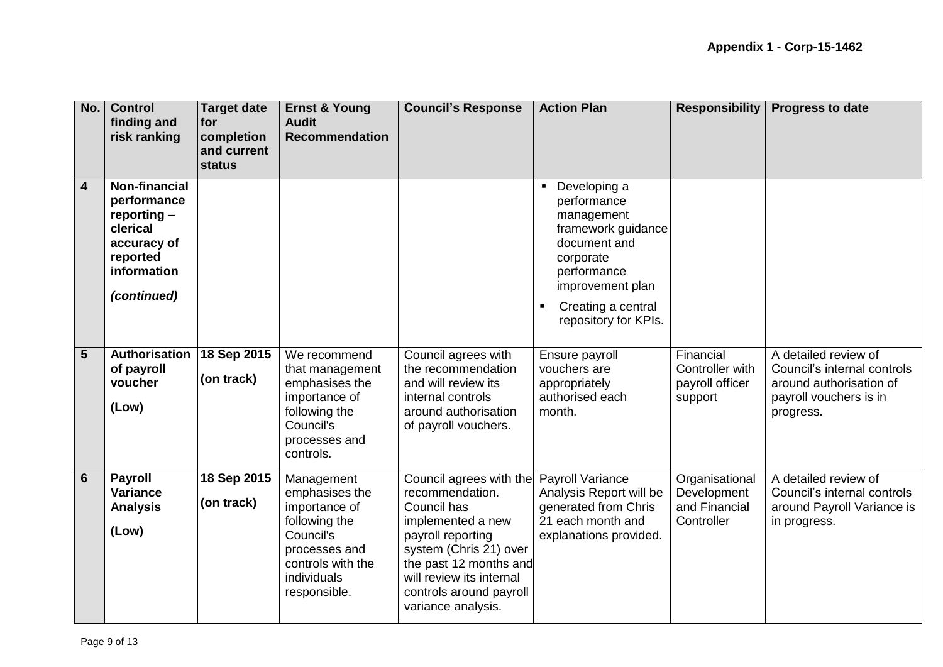| No. | <b>Control</b><br>finding and<br>risk ranking                                                                           | <b>Target date</b><br>for<br>completion<br>and current<br>status | <b>Ernst &amp; Young</b><br><b>Audit</b><br><b>Recommendation</b>                                                                                | <b>Council's Response</b>                                                                                                                                                                                                            | <b>Action Plan</b>                                                                                                                                                                                                | <b>Responsibility</b>                                        | <b>Progress to date</b>                                                                                               |
|-----|-------------------------------------------------------------------------------------------------------------------------|------------------------------------------------------------------|--------------------------------------------------------------------------------------------------------------------------------------------------|--------------------------------------------------------------------------------------------------------------------------------------------------------------------------------------------------------------------------------------|-------------------------------------------------------------------------------------------------------------------------------------------------------------------------------------------------------------------|--------------------------------------------------------------|-----------------------------------------------------------------------------------------------------------------------|
| 4   | <b>Non-financial</b><br>performance<br>reporting -<br>clerical<br>accuracy of<br>reported<br>information<br>(continued) |                                                                  |                                                                                                                                                  |                                                                                                                                                                                                                                      | Developing a<br>$\blacksquare$<br>performance<br>management<br>framework guidance<br>document and<br>corporate<br>performance<br>improvement plan<br>Creating a central<br>$\blacksquare$<br>repository for KPIs. |                                                              |                                                                                                                       |
| 5   | Authorisation<br>of payroll<br>voucher<br>(Low)                                                                         | 18 Sep 2015<br>(on track)                                        | We recommend<br>that management<br>emphasises the<br>importance of<br>following the<br>Council's<br>processes and<br>controls.                   | Council agrees with<br>the recommendation<br>and will review its<br>internal controls<br>around authorisation<br>of payroll vouchers.                                                                                                | Ensure payroll<br>vouchers are<br>appropriately<br>authorised each<br>month.                                                                                                                                      | Financial<br>Controller with<br>payroll officer<br>support   | A detailed review of<br>Council's internal controls<br>around authorisation of<br>payroll vouchers is in<br>progress. |
| 6   | <b>Payroll</b><br>Variance<br><b>Analysis</b><br>(Low)                                                                  | 18 Sep 2015<br>(on track)                                        | Management<br>emphasises the<br>importance of<br>following the<br>Council's<br>processes and<br>controls with the<br>individuals<br>responsible. | Council agrees with the<br>recommendation.<br>Council has<br>implemented a new<br>payroll reporting<br>system (Chris 21) over<br>the past 12 months and<br>will review its internal<br>controls around payroll<br>variance analysis. | Payroll Variance<br>Analysis Report will be<br>generated from Chris<br>21 each month and<br>explanations provided.                                                                                                | Organisational<br>Development<br>and Financial<br>Controller | A detailed review of<br>Council's internal controls<br>around Payroll Variance is<br>in progress.                     |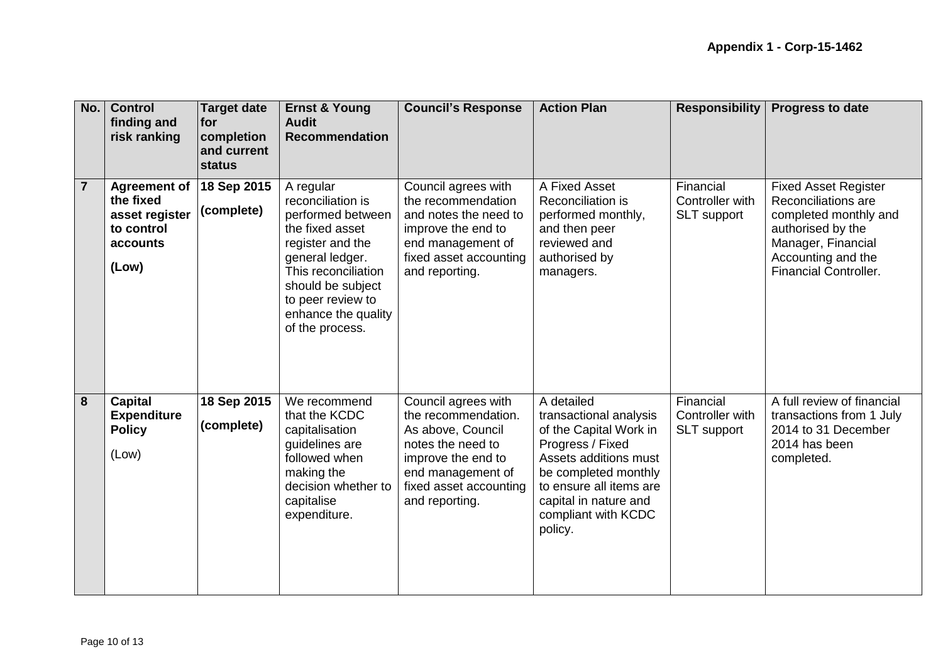| No.            | <b>Control</b><br>finding and<br>risk ranking                                         | <b>Target date</b><br>for<br>completion<br>and current<br>status | <b>Ernst &amp; Young</b><br><b>Audit</b><br><b>Recommendation</b>                                                                                                                                                        | <b>Council's Response</b>                                                                                                                                                   | <b>Action Plan</b>                                                                                                                                                                                                        | <b>Responsibility</b>                              | <b>Progress to date</b>                                                                                                                                                      |
|----------------|---------------------------------------------------------------------------------------|------------------------------------------------------------------|--------------------------------------------------------------------------------------------------------------------------------------------------------------------------------------------------------------------------|-----------------------------------------------------------------------------------------------------------------------------------------------------------------------------|---------------------------------------------------------------------------------------------------------------------------------------------------------------------------------------------------------------------------|----------------------------------------------------|------------------------------------------------------------------------------------------------------------------------------------------------------------------------------|
| $\overline{7}$ | <b>Agreement of</b><br>the fixed<br>asset register<br>to control<br>accounts<br>(Low) | 18 Sep 2015<br>(complete)                                        | A regular<br>reconciliation is<br>performed between<br>the fixed asset<br>register and the<br>general ledger.<br>This reconciliation<br>should be subject<br>to peer review to<br>enhance the quality<br>of the process. | Council agrees with<br>the recommendation<br>and notes the need to<br>improve the end to<br>end management of<br>fixed asset accounting<br>and reporting.                   | A Fixed Asset<br>Reconciliation is<br>performed monthly,<br>and then peer<br>reviewed and<br>authorised by<br>managers.                                                                                                   | Financial<br>Controller with<br><b>SLT</b> support | <b>Fixed Asset Register</b><br>Reconciliations are<br>completed monthly and<br>authorised by the<br>Manager, Financial<br>Accounting and the<br><b>Financial Controller.</b> |
| $\overline{8}$ | <b>Capital</b><br><b>Expenditure</b><br><b>Policy</b><br>(Low)                        | 18 Sep 2015<br>(complete)                                        | We recommend<br>that the KCDC<br>capitalisation<br>guidelines are<br>followed when<br>making the<br>decision whether to<br>capitalise<br>expenditure.                                                                    | Council agrees with<br>the recommendation.<br>As above, Council<br>notes the need to<br>improve the end to<br>end management of<br>fixed asset accounting<br>and reporting. | A detailed<br>transactional analysis<br>of the Capital Work in<br>Progress / Fixed<br>Assets additions must<br>be completed monthly<br>to ensure all items are<br>capital in nature and<br>compliant with KCDC<br>policy. | Financial<br>Controller with<br>SLT support        | A full review of financial<br>transactions from 1 July<br>2014 to 31 December<br>2014 has been<br>completed.                                                                 |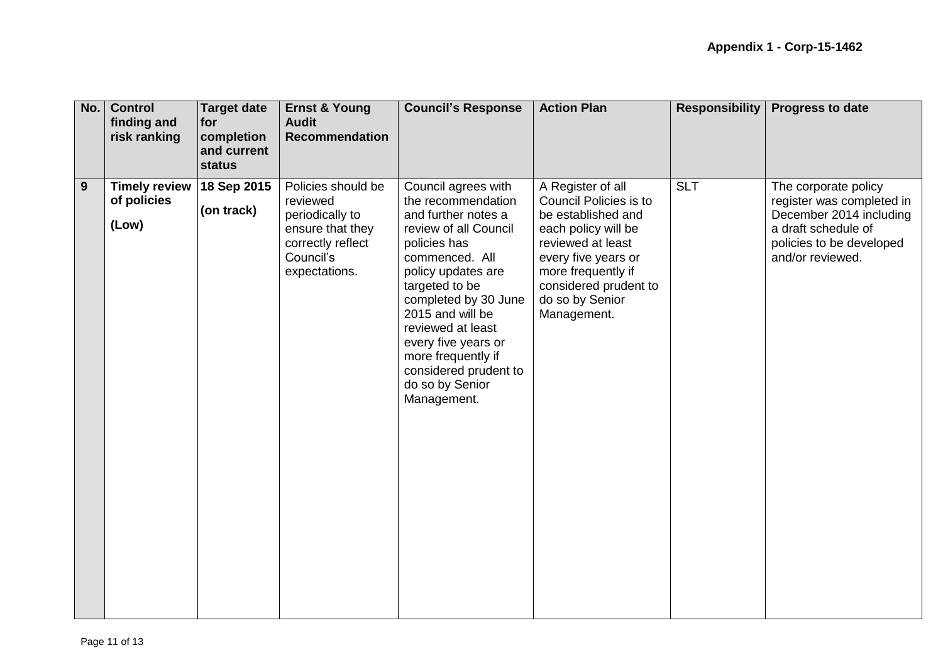| No.            | <b>Control</b><br>finding and<br>risk ranking | <b>Target date</b><br>for<br>completion<br>and current<br>status | <b>Ernst &amp; Young</b><br><b>Audit</b><br><b>Recommendation</b>                                                        | <b>Council's Response</b>                                                                                                                                                                                                                                                                                                                    | <b>Action Plan</b>                                                                                                                                                                                                    | <b>Responsibility</b> | <b>Progress to date</b>                                                                                                                             |
|----------------|-----------------------------------------------|------------------------------------------------------------------|--------------------------------------------------------------------------------------------------------------------------|----------------------------------------------------------------------------------------------------------------------------------------------------------------------------------------------------------------------------------------------------------------------------------------------------------------------------------------------|-----------------------------------------------------------------------------------------------------------------------------------------------------------------------------------------------------------------------|-----------------------|-----------------------------------------------------------------------------------------------------------------------------------------------------|
| $\overline{9}$ | <b>Timely review</b><br>of policies<br>(Low)  | 18 Sep 2015<br>(on track)                                        | Policies should be<br>reviewed<br>periodically to<br>ensure that they<br>correctly reflect<br>Council's<br>expectations. | Council agrees with<br>the recommendation<br>and further notes a<br>review of all Council<br>policies has<br>commenced. All<br>policy updates are<br>targeted to be<br>completed by 30 June<br>2015 and will be<br>reviewed at least<br>every five years or<br>more frequently if<br>considered prudent to<br>do so by Senior<br>Management. | A Register of all<br>Council Policies is to<br>be established and<br>each policy will be<br>reviewed at least<br>every five years or<br>more frequently if<br>considered prudent to<br>do so by Senior<br>Management. | <b>SLT</b>            | The corporate policy<br>register was completed in<br>December 2014 including<br>a draft schedule of<br>policies to be developed<br>and/or reviewed. |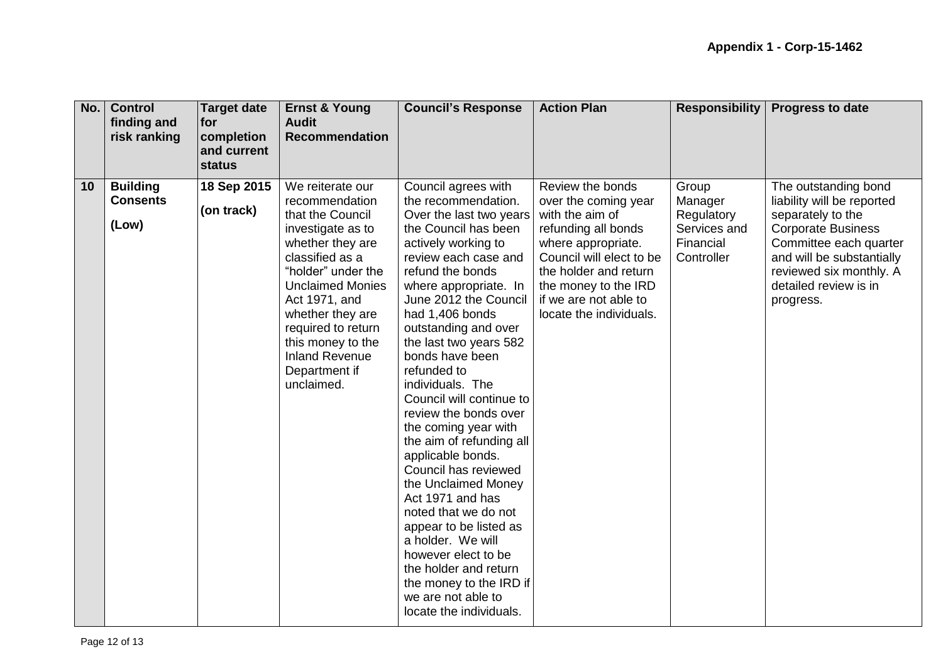| No. | <b>Control</b><br>finding and<br>risk ranking | Target date<br><b>for</b><br>completion<br>and current<br><b>status</b> | <b>Ernst &amp; Young</b><br><b>Audit</b><br><b>Recommendation</b>                                                                                                                                                                                                                                           | <b>Council's Response</b>                                                                                                                                                                                                                                                                                                                                                                                                                                                                                                                                                                                                                                                                                                                         | <b>Action Plan</b>                                                                                                                                                                                                                        | <b>Responsibility</b>                                                     | <b>Progress to date</b>                                                                                                                                                                                                      |
|-----|-----------------------------------------------|-------------------------------------------------------------------------|-------------------------------------------------------------------------------------------------------------------------------------------------------------------------------------------------------------------------------------------------------------------------------------------------------------|---------------------------------------------------------------------------------------------------------------------------------------------------------------------------------------------------------------------------------------------------------------------------------------------------------------------------------------------------------------------------------------------------------------------------------------------------------------------------------------------------------------------------------------------------------------------------------------------------------------------------------------------------------------------------------------------------------------------------------------------------|-------------------------------------------------------------------------------------------------------------------------------------------------------------------------------------------------------------------------------------------|---------------------------------------------------------------------------|------------------------------------------------------------------------------------------------------------------------------------------------------------------------------------------------------------------------------|
| 10  | <b>Building</b><br><b>Consents</b><br>(Low)   | 18 Sep 2015<br>(on track)                                               | We reiterate our<br>recommendation<br>that the Council<br>investigate as to<br>whether they are<br>classified as a<br>"holder" under the<br><b>Unclaimed Monies</b><br>Act 1971, and<br>whether they are<br>required to return<br>this money to the<br><b>Inland Revenue</b><br>Department if<br>unclaimed. | Council agrees with<br>the recommendation.<br>Over the last two years<br>the Council has been<br>actively working to<br>review each case and<br>refund the bonds<br>where appropriate. In<br>June 2012 the Council<br>had 1,406 bonds<br>outstanding and over<br>the last two years 582<br>bonds have been<br>refunded to<br>individuals. The<br>Council will continue to<br>review the bonds over<br>the coming year with<br>the aim of refunding all<br>applicable bonds.<br>Council has reviewed<br>the Unclaimed Money<br>Act 1971 and has<br>noted that we do not<br>appear to be listed as<br>a holder. We will<br>however elect to be<br>the holder and return<br>the money to the IRD if<br>we are not able to<br>locate the individuals. | Review the bonds<br>over the coming year<br>with the aim of<br>refunding all bonds<br>where appropriate.<br>Council will elect to be<br>the holder and return<br>the money to the IRD<br>if we are not able to<br>locate the individuals. | Group<br>Manager<br>Regulatory<br>Services and<br>Financial<br>Controller | The outstanding bond<br>liability will be reported<br>separately to the<br><b>Corporate Business</b><br>Committee each quarter<br>and will be substantially<br>reviewed six monthly. A<br>detailed review is in<br>progress. |